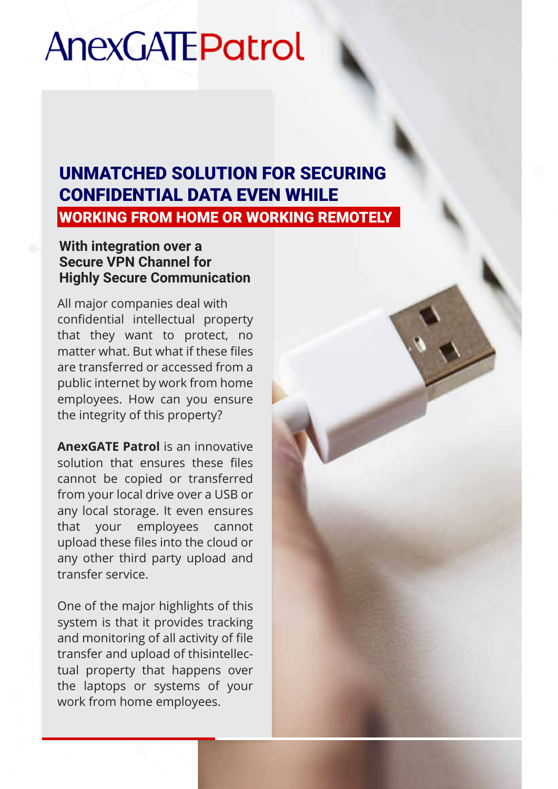# **AnexGATEPatrol**

### UNMATCHED SOLUTION FOR SECURING CONFIDENTIAL DATA EVEN WHILE WORKING FROM HOME OR WORKING REMOTELY

#### **With integration over a Secure VPN Channel for Highly Secure Communication**

All major companies deal with confidential intellectual property that they want to protect, no matter what. But what if these files are transferred or accessed from a public internet by work from home employees. How can you ensure the integrity of this property?

**AnexGATE Patrol** is an innovative solution that ensures these files cannot be copied or transferred from your local drive over a USB or any local storage. It even ensures that your employees cannot upload these files into the cloud or any other third party upload and transfer service.

One of the major highlights of this system is that it provides tracking and monitoring of all activity of file transfer and upload of thisintellectual property that happens over the laptops or systems of your work from home employees.